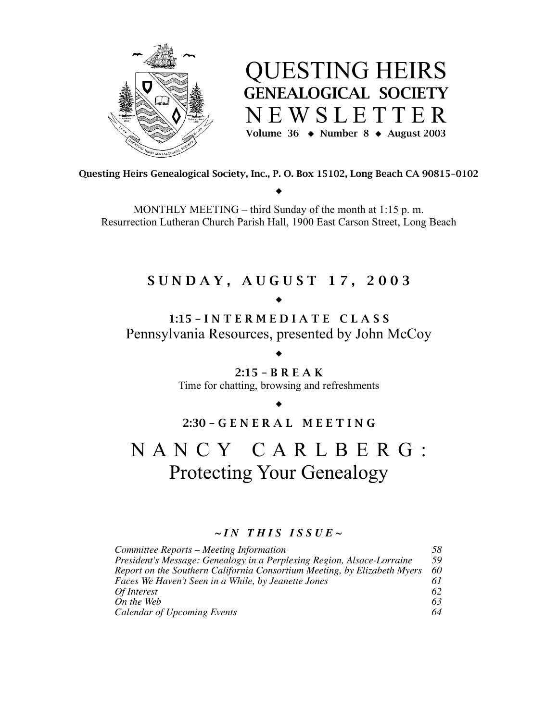

QUESTING HEIRS GENEALOGICAL SOCIETY N E W S L E T T E R Volume 36  $\leftrightarrow$  Number 8  $\leftrightarrow$  August 2003

Questing Heirs Genealogical Society, Inc., P. O. Box 15102, Long Beach CA 90815-0102  $\bullet$ 

MONTHLY MEETING – third Sunday of the month at 1:15 p. m. Resurrection Lutheran Church Parish Hall, 1900 East Carson Street, Long Beach

# S U N D A Y , A U G U S T 1 7 , 2 0 0 3

٠

# 1:15 – I N T E R M E D I A T E C L A S S Pennsylvania Resources, presented by John McCoy

## ٠ 2:15 – B R E A K

Time for chatting, browsing and refreshments

## ٠

## 2:30 – G E N E R A L M E E T I N G

# N A N C Y C A R L B E R G : Protecting Your Genealogy

## $\sim$ *IN THIS ISSUE*  $\sim$

| Committee Reports – Meeting Information                                  | 58  |
|--------------------------------------------------------------------------|-----|
| President's Message: Genealogy in a Perplexing Region, Alsace-Lorraine   | 59  |
| Report on the Southern California Consortium Meeting, by Elizabeth Myers | -60 |
| Faces We Haven't Seen in a While, by Jeanette Jones                      |     |
| Of Interest                                                              | 62  |
| On the Web                                                               | 63  |
| Calendar of Upcoming Events                                              | 64  |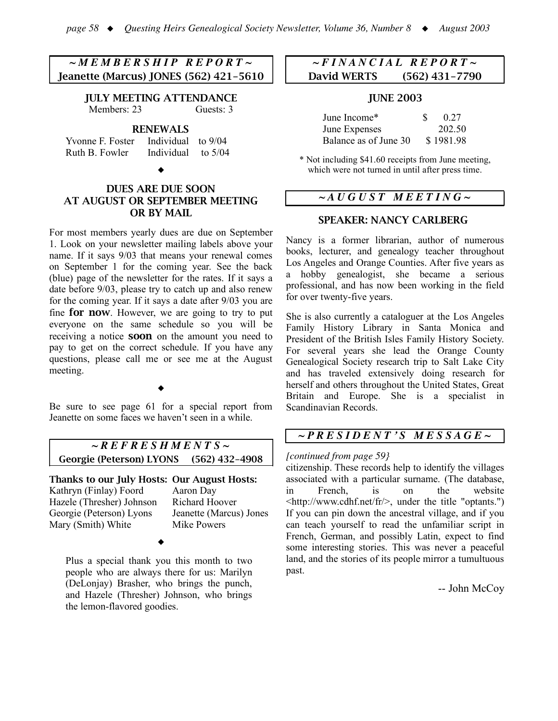## *~ M E M B E R S H I P R E P O R T ~* Jeanette (Marcus) JONES (562) 421-5610

JULY MEETING ATTENDANCE Members: 23 Guests: 3

RENEWALS

Yvonne F. Foster Individual to 9/04 Ruth B. Fowler Individual to 5/04

٠

## DUES ARE DUE SOON AT AUGUST OR SEPTEMBER MEETING OR BY MAIL

For most members yearly dues are due on September 1. Look on your newsletter mailing labels above your name. If it says 9/03 that means your renewal comes on September 1 for the coming year. See the back (blue) page of the newsletter for the rates. If it says a date before 9/03, please try to catch up and also renew for the coming year. If it says a date after 9/03 you are fine for now. However, we are going to try to put everyone on the same schedule so you will be receiving a notice soon on the amount you need to pay to get on the correct schedule. If you have any questions, please call me or see me at the August meeting.

٠

Be sure to see page 61 for a special report from Jeanette on some faces we haven't seen in a while.

*~ R E F R E S H M E N T S ~* Georgie (Peterson) LYONS (562) 432-4908

Thanks to our July Hosts: Our August Hosts: Kathryn (Finlay) Foord Aaron Day Hazele (Thresher) Johnson Richard Hoover Georgie (Peterson) Lyons Jeanette (Marcus) Jones Mary (Smith) White Mike Powers

٠

Plus a special thank you this month to two people who are always there for us: Marilyn (DeLonjay) Brasher, who brings the punch, and Hazele (Thresher) Johnson, who brings the lemon-flavored goodies.

## *~ F I N A N C I A L R E P O R T ~* David WERTS (562) 431-7790

#### JUNE 2003

| June Income*          | 0.27      |
|-----------------------|-----------|
| June Expenses         | 202.50    |
| Balance as of June 30 | \$1981.98 |

\* Not including \$41.60 receipts from June meeting, which were not turned in until after press time.

## *~ A U G U S T M E E T I N G ~*

## SPEAKER: NANCY CARLBERG

Nancy is a former librarian, author of numerous books, lecturer, and genealogy teacher throughout Los Angeles and Orange Counties. After five years as a hobby genealogist, she became a serious professional, and has now been working in the field for over twenty-five years.

She is also currently a cataloguer at the Los Angeles Family History Library in Santa Monica and President of the British Isles Family History Society. For several years she lead the Orange County Genealogical Society research trip to Salt Lake City and has traveled extensively doing research for herself and others throughout the United States, Great Britain and Europe. She is a specialist in Scandinavian Records.

## *~ P R E S I D E N T ' S M E S S A G E ~*

#### *[continued from page 59}*

citizenship. These records help to identify the villages associated with a particular surname. (The database, in French, is on the website <http://www.cdhf.net/fr/>, under the title "optants.") If you can pin down the ancestral village, and if you can teach yourself to read the unfamiliar script in French, German, and possibly Latin, expect to find some interesting stories. This was never a peaceful land, and the stories of its people mirror a tumultuous past.

-- John McCoy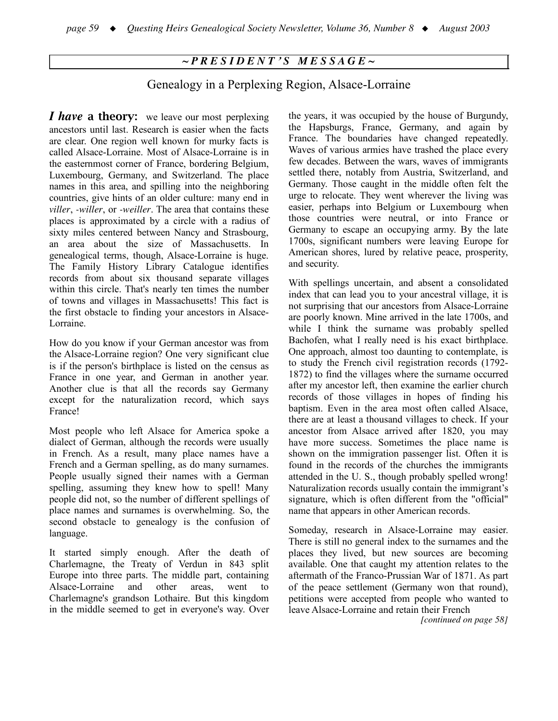## *~ P R E S I D E N T ' S M E S S A G E ~*

## Genealogy in a Perplexing Region, Alsace-Lorraine

*<i>I* have a theory: we leave our most perplexing ancestors until last. Research is easier when the facts are clear. One region well known for murky facts is called Alsace-Lorraine. Most of Alsace-Lorraine is in the easternmost corner of France, bordering Belgium, Luxembourg, Germany, and Switzerland. The place names in this area, and spilling into the neighboring countries, give hints of an older culture: many end in *viller*, *-willer*, or *-weiller*. The area that contains these places is approximated by a circle with a radius of sixty miles centered between Nancy and Strasbourg, an area about the size of Massachusetts. In genealogical terms, though, Alsace-Lorraine is huge. The Family History Library Catalogue identifies records from about six thousand separate villages within this circle. That's nearly ten times the number of towns and villages in Massachusetts! This fact is the first obstacle to finding your ancestors in Alsace-Lorraine.

How do you know if your German ancestor was from the Alsace-Lorraine region? One very significant clue is if the person's birthplace is listed on the census as France in one year, and German in another year. Another clue is that all the records say Germany except for the naturalization record, which says France!

Most people who left Alsace for America spoke a dialect of German, although the records were usually in French. As a result, many place names have a French and a German spelling, as do many surnames. People usually signed their names with a German spelling, assuming they knew how to spell! Many people did not, so the number of different spellings of place names and surnames is overwhelming. So, the second obstacle to genealogy is the confusion of language.

It started simply enough. After the death of Charlemagne, the Treaty of Verdun in 843 split Europe into three parts. The middle part, containing Alsace-Lorraine and other areas, went to Charlemagne's grandson Lothaire. But this kingdom in the middle seemed to get in everyone's way. Over the years, it was occupied by the house of Burgundy, the Hapsburgs, France, Germany, and again by France. The boundaries have changed repeatedly. Waves of various armies have trashed the place every few decades. Between the wars, waves of immigrants settled there, notably from Austria, Switzerland, and Germany. Those caught in the middle often felt the urge to relocate. They went wherever the living was easier, perhaps into Belgium or Luxembourg when those countries were neutral, or into France or Germany to escape an occupying army. By the late 1700s, significant numbers were leaving Europe for American shores, lured by relative peace, prosperity, and security.

With spellings uncertain, and absent a consolidated index that can lead you to your ancestral village, it is not surprising that our ancestors from Alsace-Lorraine are poorly known. Mine arrived in the late 1700s, and while I think the surname was probably spelled Bachofen, what I really need is his exact birthplace. One approach, almost too daunting to contemplate, is to study the French civil registration records (1792- 1872) to find the villages where the surname occurred after my ancestor left, then examine the earlier church records of those villages in hopes of finding his baptism. Even in the area most often called Alsace, there are at least a thousand villages to check. If your ancestor from Alsace arrived after 1820, you may have more success. Sometimes the place name is shown on the immigration passenger list. Often it is found in the records of the churches the immigrants attended in the U. S., though probably spelled wrong! Naturalization records usually contain the immigrant's signature, which is often different from the "official" name that appears in other American records.

Someday, research in Alsace-Lorraine may easier. There is still no general index to the surnames and the places they lived, but new sources are becoming available. One that caught my attention relates to the aftermath of the Franco-Prussian War of 1871. As part of the peace settlement (Germany won that round), petitions were accepted from people who wanted to leave Alsace-Lorraine and retain their French

*[continued on page 58]*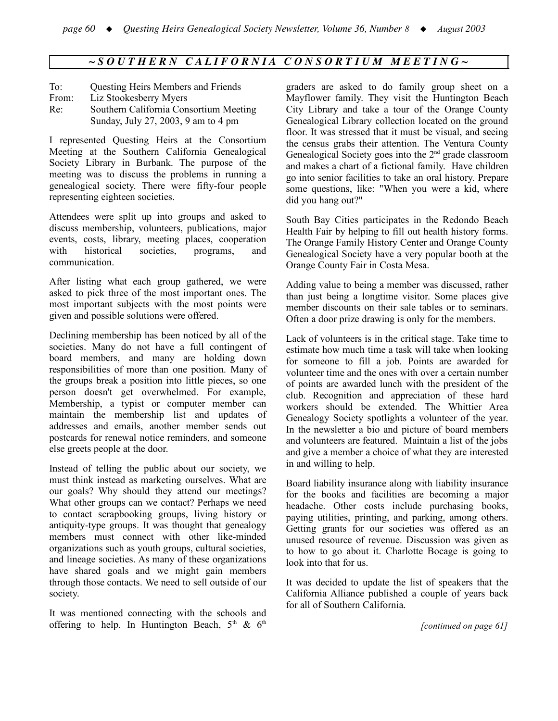## $\sim$ SOUTHERN CALIFORNIA CONSORTIUM MEETING $\sim$

| To:   | Questing Heirs Members and Friends     |
|-------|----------------------------------------|
| From: | Liz Stookesberry Myers                 |
| Re:   | Southern California Consortium Meeting |
|       | Sunday, July 27, 2003, 9 am to 4 pm    |

I represented Questing Heirs at the Consortium Meeting at the Southern California Genealogical Society Library in Burbank. The purpose of the meeting was to discuss the problems in running a genealogical society. There were fifty-four people representing eighteen societies.

Attendees were split up into groups and asked to discuss membership, volunteers, publications, major events, costs, library, meeting places, cooperation with historical societies, programs, and communication.

After listing what each group gathered, we were asked to pick three of the most important ones. The most important subjects with the most points were given and possible solutions were offered.

Declining membership has been noticed by all of the societies. Many do not have a full contingent of board members, and many are holding down responsibilities of more than one position. Many of the groups break a position into little pieces, so one person doesn't get overwhelmed. For example, Membership, a typist or computer member can maintain the membership list and updates of addresses and emails, another member sends out postcards for renewal notice reminders, and someone else greets people at the door.

Instead of telling the public about our society, we must think instead as marketing ourselves. What are our goals? Why should they attend our meetings? What other groups can we contact? Perhaps we need to contact scrapbooking groups, living history or antiquity-type groups. It was thought that genealogy members must connect with other like-minded organizations such as youth groups, cultural societies, and lineage societies. As many of these organizations have shared goals and we might gain members through those contacts. We need to sell outside of our society.

It was mentioned connecting with the schools and offering to help. In Huntington Beach,  $5<sup>th</sup>$  &  $6<sup>th</sup>$ 

graders are asked to do family group sheet on a Mayflower family. They visit the Huntington Beach City Library and take a tour of the Orange County Genealogical Library collection located on the ground floor. It was stressed that it must be visual, and seeing the census grabs their attention. The Ventura County Genealogical Society goes into the 2<sup>nd</sup> grade classroom and makes a chart of a fictional family. Have children go into senior facilities to take an oral history. Prepare some questions, like: "When you were a kid, where did you hang out?"

South Bay Cities participates in the Redondo Beach Health Fair by helping to fill out health history forms. The Orange Family History Center and Orange County Genealogical Society have a very popular booth at the Orange County Fair in Costa Mesa.

Adding value to being a member was discussed, rather than just being a longtime visitor. Some places give member discounts on their sale tables or to seminars. Often a door prize drawing is only for the members.

Lack of volunteers is in the critical stage. Take time to estimate how much time a task will take when looking for someone to fill a job. Points are awarded for volunteer time and the ones with over a certain number of points are awarded lunch with the president of the club. Recognition and appreciation of these hard workers should be extended. The Whittier Area Genealogy Society spotlights a volunteer of the year. In the newsletter a bio and picture of board members and volunteers are featured. Maintain a list of the jobs and give a member a choice of what they are interested in and willing to help.

Board liability insurance along with liability insurance for the books and facilities are becoming a major headache. Other costs include purchasing books, paying utilities, printing, and parking, among others. Getting grants for our societies was offered as an unused resource of revenue. Discussion was given as to how to go about it. Charlotte Bocage is going to look into that for us.

It was decided to update the list of speakers that the California Alliance published a couple of years back for all of Southern California.

*[continued on page 61]*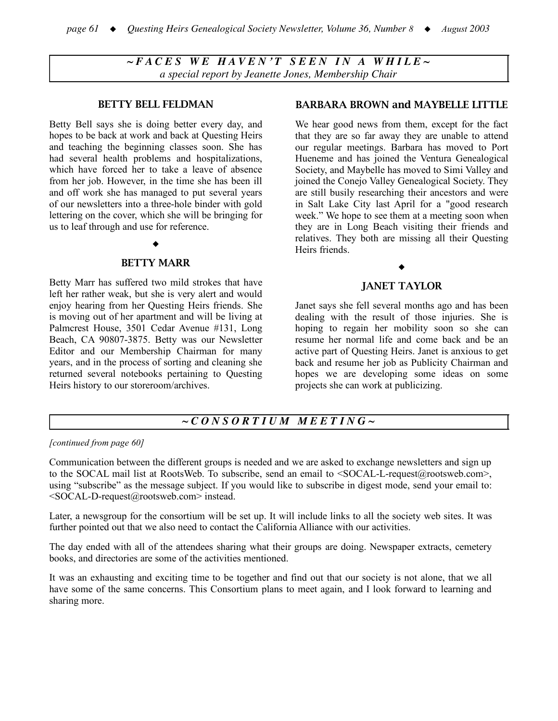$\sim$ FACES WE HAVEN'T SEEN IN A WHILE~ *a special report by Jeanette Jones, Membership Chair*

#### BETTY BELL FELDMAN

Betty Bell says she is doing better every day, and hopes to be back at work and back at Questing Heirs and teaching the beginning classes soon. She has had several health problems and hospitalizations, which have forced her to take a leave of absence from her job. However, in the time she has been ill and off work she has managed to put several years of our newsletters into a three-hole binder with gold lettering on the cover, which she will be bringing for us to leaf through and use for reference.

#### ٠

#### BETTY MARR

Betty Marr has suffered two mild strokes that have left her rather weak, but she is very alert and would enjoy hearing from her Questing Heirs friends. She is moving out of her apartment and will be living at Palmcrest House, 3501 Cedar Avenue #131, Long Beach, CA 90807-3875. Betty was our Newsletter Editor and our Membership Chairman for many years, and in the process of sorting and cleaning she returned several notebooks pertaining to Questing Heirs history to our storeroom/archives.

#### BARBARA BROWN and MAYBELLE LITTLE

We hear good news from them, except for the fact that they are so far away they are unable to attend our regular meetings. Barbara has moved to Port Hueneme and has joined the Ventura Genealogical Society, and Maybelle has moved to Simi Valley and joined the Conejo Valley Genealogical Society. They are still busily researching their ancestors and were in Salt Lake City last April for a "good research week." We hope to see them at a meeting soon when they are in Long Beach visiting their friends and relatives. They both are missing all their Questing Heirs friends.

#### ٠

## JANET TAYLOR

Janet says she fell several months ago and has been dealing with the result of those injuries. She is hoping to regain her mobility soon so she can resume her normal life and come back and be an active part of Questing Heirs. Janet is anxious to get back and resume her job as Publicity Chairman and hopes we are developing some ideas on some projects she can work at publicizing.

## *~ C O N S O R T I U M M E E T I N G ~*

#### *[continued from page 60]*

Communication between the different groups is needed and we are asked to exchange newsletters and sign up to the SOCAL mail list at RootsWeb. To subscribe, send an email to <SOCAL-L-request@rootsweb.com>, using "subscribe" as the message subject. If you would like to subscribe in digest mode, send your email to: <SOCAL-D-request@rootsweb.com> instead.

Later, a newsgroup for the consortium will be set up. It will include links to all the society web sites. It was further pointed out that we also need to contact the California Alliance with our activities.

The day ended with all of the attendees sharing what their groups are doing. Newspaper extracts, cemetery books, and directories are some of the activities mentioned.

It was an exhausting and exciting time to be together and find out that our society is not alone, that we all have some of the same concerns. This Consortium plans to meet again, and I look forward to learning and sharing more.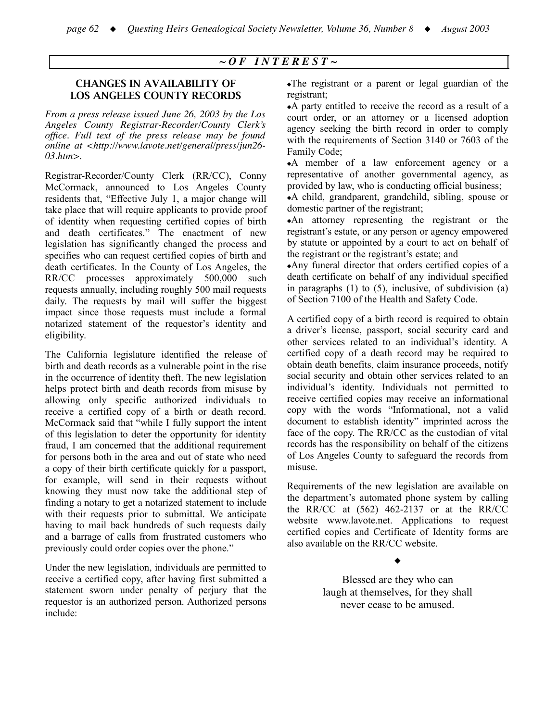## *~ O F I N T E R E S T ~*

## CHANGES IN AVAILABILITY OF LOS ANGELES COUNTY RECORDS

*From a press release issued June 26, 2003 by the Los Angeles County Registrar-Recorder/County Clerk's office. Full text of the press release may be found online at <http://www.lavote.net/general/press/jun26- 03.htm>.*

Registrar-Recorder/County Clerk (RR/CC), Conny McCormack, announced to Los Angeles County residents that, "Effective July 1, a major change will take place that will require applicants to provide proof of identity when requesting certified copies of birth and death certificates." The enactment of new legislation has significantly changed the process and specifies who can request certified copies of birth and death certificates. In the County of Los Angeles, the RR/CC processes approximately 500,000 such requests annually, including roughly 500 mail requests daily. The requests by mail will suffer the biggest impact since those requests must include a formal notarized statement of the requestor's identity and eligibility.

The California legislature identified the release of birth and death records as a vulnerable point in the rise in the occurrence of identity theft. The new legislation helps protect birth and death records from misuse by allowing only specific authorized individuals to receive a certified copy of a birth or death record. McCormack said that "while I fully support the intent of this legislation to deter the opportunity for identity fraud, I am concerned that the additional requirement for persons both in the area and out of state who need a copy of their birth certificate quickly for a passport, for example, will send in their requests without knowing they must now take the additional step of finding a notary to get a notarized statement to include with their requests prior to submittal. We anticipate having to mail back hundreds of such requests daily and a barrage of calls from frustrated customers who previously could order copies over the phone."

Under the new legislation, individuals are permitted to receive a certified copy, after having first submitted a statement sworn under penalty of perjury that the requestor is an authorized person. Authorized persons include:

♦The registrant or a parent or legal guardian of the registrant;

♦A party entitled to receive the record as a result of a court order, or an attorney or a licensed adoption agency seeking the birth record in order to comply with the requirements of Section 3140 or 7603 of the Family Code;

♦A member of a law enforcement agency or a representative of another governmental agency, as provided by law, who is conducting official business;

♦A child, grandparent, grandchild, sibling, spouse or domestic partner of the registrant;

♦An attorney representing the registrant or the registrant's estate, or any person or agency empowered by statute or appointed by a court to act on behalf of the registrant or the registrant's estate; and

♦Any funeral director that orders certified copies of a death certificate on behalf of any individual specified in paragraphs  $(1)$  to  $(5)$ , inclusive, of subdivision  $(a)$ of Section 7100 of the Health and Safety Code.

A certified copy of a birth record is required to obtain a driver's license, passport, social security card and other services related to an individual's identity. A certified copy of a death record may be required to obtain death benefits, claim insurance proceeds, notify social security and obtain other services related to an individual's identity. Individuals not permitted to receive certified copies may receive an informational copy with the words "Informational, not a valid document to establish identity" imprinted across the face of the copy. The RR/CC as the custodian of vital records has the responsibility on behalf of the citizens of Los Angeles County to safeguard the records from misuse.

Requirements of the new legislation are available on the department's automated phone system by calling the RR/CC at (562) 462-2137 or at the RR/CC website www.lavote.net. Applications to request certified copies and Certificate of Identity forms are also available on the RR/CC website.

#### ٠

Blessed are they who can laugh at themselves, for they shall never cease to be amused.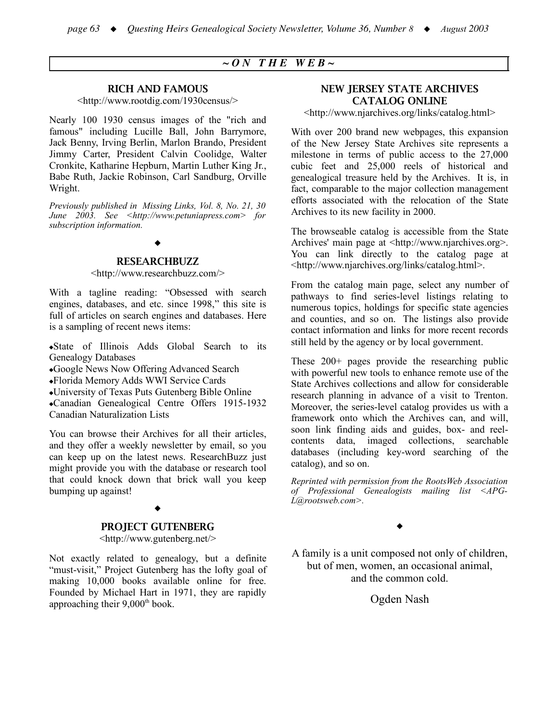## $\sim$  *ON THE*  $WEB \sim$

#### RICH AND FAMOUS

<http://www.rootdig.com/1930census/>

Nearly 100 1930 census images of the "rich and famous" including Lucille Ball, John Barrymore, Jack Benny, Irving Berlin, Marlon Brando, President Jimmy Carter, President Calvin Coolidge, Walter Cronkite, Katharine Hepburn, Martin Luther King Jr., Babe Ruth, Jackie Robinson, Carl Sandburg, Orville Wright.

*Previously published in Missing Links, Vol. 8, No. 21, 30 June 2003. See <http://www.petuniapress.com> for subscription information.*

#### ٠

#### RESEARCHBUZZ

#### <http://www.researchbuzz.com/>

With a tagline reading: "Obsessed with search engines, databases, and etc. since 1998," this site is full of articles on search engines and databases. Here is a sampling of recent news items:

♦State of Illinois Adds Global Search to its Genealogy Databases

♦Google News Now Offering Advanced Search

♦Florida Memory Adds WWI Service Cards

♦University of Texas Puts Gutenberg Bible Online

♦Canadian Genealogical Centre Offers 1915-1932 Canadian Naturalization Lists

You can browse their Archives for all their articles, and they offer a weekly newsletter by email, so you can keep up on the latest news. ResearchBuzz just might provide you with the database or research tool that could knock down that brick wall you keep bumping up against!

#### ٠

#### PROJECT GUTENBERG

<http://www.gutenberg.net/>

Not exactly related to genealogy, but a definite "must-visit," Project Gutenberg has the lofty goal of making 10,000 books available online for free. Founded by Michael Hart in 1971, they are rapidly approaching their  $9,000<sup>th</sup>$  book.

#### NEW JERSEY STATE ARCHIVES CATALOG ONLINE

<http://www.njarchives.org/links/catalog.html>

With over 200 brand new webpages, this expansion of the New Jersey State Archives site represents a milestone in terms of public access to the 27,000 cubic feet and 25,000 reels of historical and genealogical treasure held by the Archives. It is, in fact, comparable to the major collection management efforts associated with the relocation of the State Archives to its new facility in 2000.

The browseable catalog is accessible from the State Archives' main page at <http://www.njarchives.org>. You can link directly to the catalog page at <http://www.njarchives.org/links/catalog.html>.

From the catalog main page, select any number of pathways to find series-level listings relating to numerous topics, holdings for specific state agencies and counties, and so on. The listings also provide contact information and links for more recent records still held by the agency or by local government.

These 200+ pages provide the researching public with powerful new tools to enhance remote use of the State Archives collections and allow for considerable research planning in advance of a visit to Trenton. Moreover, the series-level catalog provides us with a framework onto which the Archives can, and will, soon link finding aids and guides, box- and reelcontents data, imaged collections, searchable databases (including key-word searching of the catalog), and so on.

*Reprinted with permission from the RootsWeb Association of Professional Genealogists mailing list <APG-L@rootsweb.com>.*

٠

A family is a unit composed not only of children, but of men, women, an occasional animal, and the common cold.

Ogden Nash